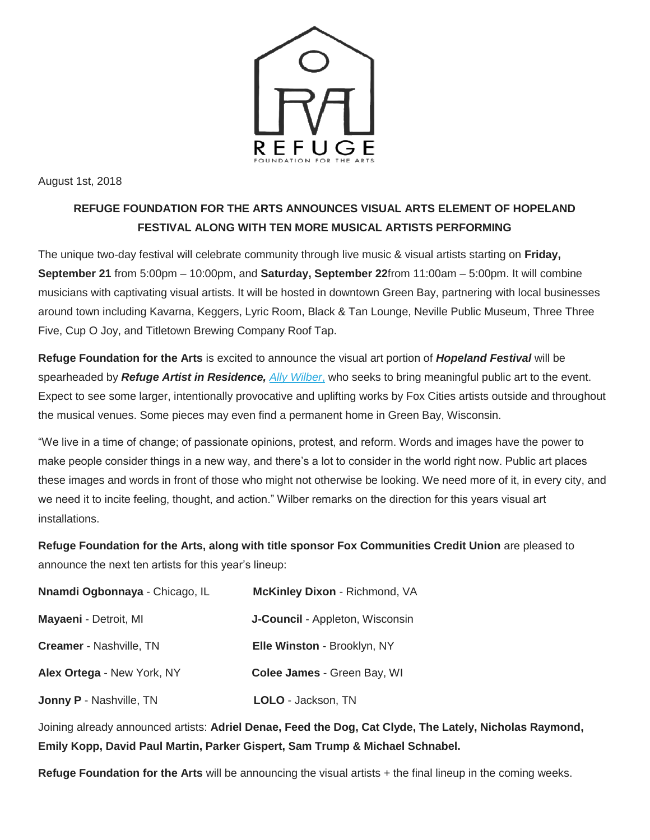

August 1st, 2018

## **REFUGE FOUNDATION FOR THE ARTS ANNOUNCES VISUAL ARTS ELEMENT OF HOPELAND FESTIVAL ALONG WITH TEN MORE MUSICAL ARTISTS PERFORMING**

The unique two-day festival will celebrate community through live music & visual artists starting on **Friday, September 21** from 5:00pm – 10:00pm, and **Saturday, September 22**from 11:00am – 5:00pm. It will combine musicians with captivating visual artists. It will be hosted in downtown Green Bay, partnering with local businesses around town including Kavarna, Keggers, Lyric Room, Black & Tan Lounge, Neville Public Museum, Three Three Five, Cup O Joy, and Titletown Brewing Company Roof Tap.

**Refuge Foundation for the Arts** is excited to announce the visual art portion of *Hopeland Festival* will be spearheaded by *Refuge Artist in Residence, [Ally Wilber](http://allywilber.com/)*[,](http://allywilber.com/) who seeks to bring meaningful public art to the event. Expect to see some larger, intentionally provocative and uplifting works by Fox Cities artists outside and throughout the musical venues. Some pieces may even find a permanent home in Green Bay, Wisconsin.

"We live in a time of change; of passionate opinions, protest, and reform. Words and images have the power to make people consider things in a new way, and there's a lot to consider in the world right now. Public art places these images and words in front of those who might not otherwise be looking. We need more of it, in every city, and we need it to incite feeling, thought, and action." Wilber remarks on the direction for this years visual art installations.

**Refuge Foundation for the Arts, along with title sponsor Fox Communities Credit Union** are pleased to announce the next ten artists for this year's lineup:

| Nnamdi Ogbonnaya - Chicago, IL | <b>McKinley Dixon - Richmond, VA</b>   |
|--------------------------------|----------------------------------------|
| Mayaeni - Detroit, MI          | <b>J-Council</b> - Appleton, Wisconsin |
| Creamer - Nashville, TN        | Elle Winston - Brooklyn, NY            |
| Alex Ortega - New York, NY     | Colee James - Green Bay, WI            |
| <b>Jonny P - Nashville, TN</b> | LOLO - Jackson, TN                     |

Joining already announced artists: **Adriel Denae, Feed the Dog, Cat Clyde, The Lately, Nicholas Raymond, Emily Kopp, David Paul Martin, Parker Gispert, Sam Trump & Michael Schnabel.**

**Refuge Foundation for the Arts** will be announcing the visual artists + the final lineup in the coming weeks.